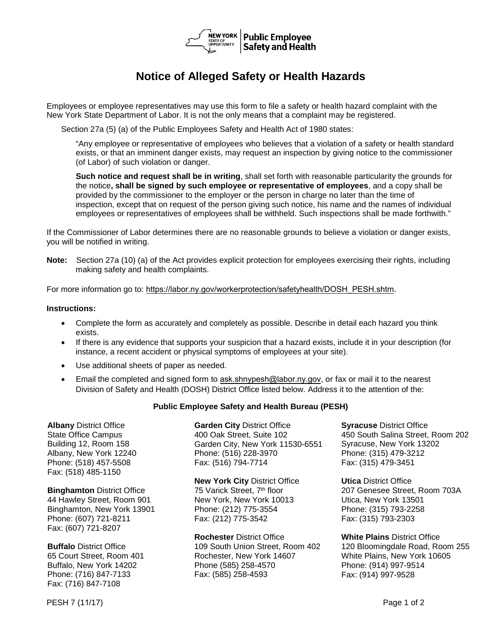

## **Notice of Alleged Safety or Health Hazards**

Employees or employee representatives may use this form to file a safety or health hazard complaint with the New York State Department of Labor. It is not the only means that a complaint may be registered.

Section 27a (5) (a) of the Public Employees Safety and Health Act of 1980 states:

"Any employee or representative of employees who believes that a violation of a safety or health standard exists, or that an imminent danger exists, may request an inspection by giving notice to the commissioner (of Labor) of such violation or danger.

**Such notice and request shall be in writing**, shall set forth with reasonable particularity the grounds for the notice**, shall be signed by such employee or representative of employees**, and a copy shall be provided by the commissioner to the employer or the person in charge no later than the time of inspection, except that on request of the person giving such notice, his name and the names of individual employees or representatives of employees shall be withheld. Such inspections shall be made forthwith."

If the Commissioner of Labor determines there are no reasonable grounds to believe a violation or danger exists, you will be notified in writing.

**Note:** Section 27a (10) (a) of the Act provides explicit protection for employees exercising their rights, including making safety and health complaints.

For more information go to: [https://labor.ny.gov/workerprotection/safetyhealth/DOSH\\_PESH.shtm](https://labor.ny.gov/workerprotection/safetyhealth/DOSH_PESH.shtm).

## **Instructions:**

- Complete the form as accurately and completely as possible. Describe in detail each hazard you think exists.
- If there is any evidence that supports your suspicion that a hazard exists, include it in your description (for instance, a recent accident or physical symptoms of employees at your site).
- Use additional sheets of paper as needed.
- Email the completed and signed form to [ask.shnypesh@labor.ny.gov,](mailto:ask.shnypesh@labor.ny.gov) or fax or mail it to the nearest Division of Safety and Health (DOSH) District Office listed below. Address it to the attention of the:

## **Public Employee Safety and Health Bureau (PESH)**

**Albany** District Office State Office Campus Building 12, Room 158 Albany, New York 12240 Phone: (518) 457-5508 Fax: (518) 485-1150

**Binghamton** District Office 44 Hawley Street, Room 901 Binghamton, New York 13901 Phone: (607) 721-8211 Fax: (607) 721-8207

**Buffalo** District Office 65 Court Street, Room 401 Buffalo, New York 14202 Phone: (716) 847-7133 Fax: (716) 847-7108

**Garden City** District Office 400 Oak Street, Suite 102 Garden City, New York 11530-6551 Phone: (516) 228-3970 Fax: (516) 794-7714

**New York City** District Office 75 Varick Street, 7<sup>th</sup> floor New York, New York 10013 Phone: (212) 775-3554 Fax: (212) 775-3542

**Rochester** District Office 109 South Union Street, Room 402 Rochester, New York 14607 Phone (585) 258-4570 Fax: (585) 258-4593

**Syracuse** District Office 450 South Salina Street, Room 202 Syracuse, New York 13202 Phone: (315) 479-3212 Fax: (315) 479-3451

**Utica** District Office 207 Genesee Street, Room 703A Utica, New York 13501 Phone: (315) 793-2258 Fax: (315) 793-2303

**White Plains** District Office 120 Bloomingdale Road, Room 255 White Plains, New York 10605 Phone: (914) 997-9514 Fax: (914) 997-9528